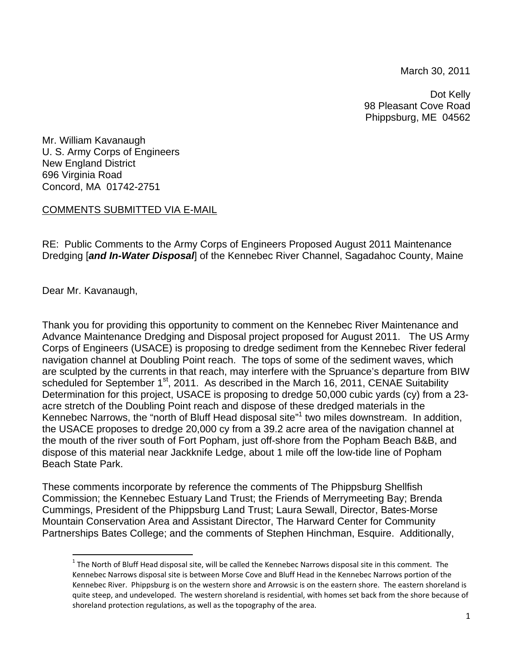March 30, 2011

Dot Kelly 98 Pleasant Cove Road Phippsburg, ME 04562

Mr. William Kavanaugh U. S. Army Corps of Engineers New England District 696 Virginia Road Concord, MA 01742-2751

## COMMENTS SUBMITTED VIA E-MAIL

RE: Public Comments to the Army Corps of Engineers Proposed August 2011 Maintenance Dredging [*and In-Water Disposal*] of the Kennebec River Channel, Sagadahoc County, Maine

Dear Mr. Kavanaugh,

Thank you for providing this opportunity to comment on the Kennebec River Maintenance and Advance Maintenance Dredging and Disposal project proposed for August 2011. The US Army Corps of Engineers (USACE) is proposing to dredge sediment from the Kennebec River federal navigation channel at Doubling Point reach. The tops of some of the sediment waves, which are sculpted by the currents in that reach, may interfere with the Spruance's departure from BIW scheduled for September 1<sup>st</sup>, 2011. As described in the March 16, 2011, CENAE Suitability Determination for this project, USACE is proposing to dredge 50,000 cubic yards (cy) from a 23 acre stretch of the Doubling Point reach and dispose of these dredged materials in the Kennebec Narrows, the "north of Bluff Head disposal site"<sup>1</sup> two miles downstream. In addition, the USACE proposes to dredge 20,000 cy from a 39.2 acre area of the navigation channel at the mouth of the river south of Fort Popham, just off-shore from the Popham Beach B&B, and dispose of this material near Jackknife Ledge, about 1 mile off the low-tide line of Popham Beach State Park.

These comments incorporate by reference the comments of The Phippsburg Shellfish Commission; the Kennebec Estuary Land Trust; the Friends of Merrymeeting Bay; Brenda Cummings, President of the Phippsburg Land Trust; Laura Sewall, Director, Bates-Morse Mountain Conservation Area and Assistant Director, The Harward Center for Community Partnerships Bates College; and the comments of Stephen Hinchman, Esquire. Additionally,

 $1$  The North of Bluff Head disposal site, will be called the Kennebec Narrows disposal site in this comment. The Kennebec Narrows disposal site is between Morse Cove and Bluff Head in the Kennebec Narrows portion of the Kennebec River. Phippsburg is on the western shore and Arrowsic is on the eastern shore. The eastern shoreland is quite steep, and undeveloped. The western shoreland is residential, with homes set back from the shore because of shoreland protection regulations, as well as the topography of the area.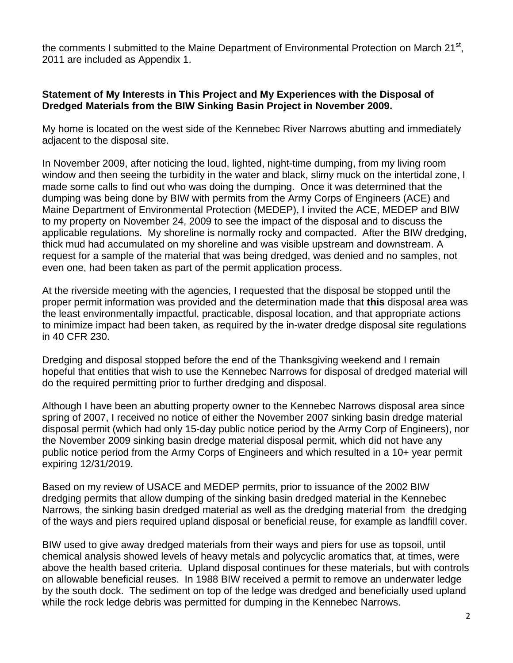the comments I submitted to the Maine Department of Environmental Protection on March 21<sup>st</sup>, 2011 are included as Appendix 1.

## **Statement of My Interests in This Project and My Experiences with the Disposal of Dredged Materials from the BIW Sinking Basin Project in November 2009.**

My home is located on the west side of the Kennebec River Narrows abutting and immediately adjacent to the disposal site.

In November 2009, after noticing the loud, lighted, night-time dumping, from my living room window and then seeing the turbidity in the water and black, slimy muck on the intertidal zone, I made some calls to find out who was doing the dumping. Once it was determined that the dumping was being done by BIW with permits from the Army Corps of Engineers (ACE) and Maine Department of Environmental Protection (MEDEP), I invited the ACE, MEDEP and BIW to my property on November 24, 2009 to see the impact of the disposal and to discuss the applicable regulations. My shoreline is normally rocky and compacted. After the BIW dredging, thick mud had accumulated on my shoreline and was visible upstream and downstream. A request for a sample of the material that was being dredged, was denied and no samples, not even one, had been taken as part of the permit application process.

At the riverside meeting with the agencies, I requested that the disposal be stopped until the proper permit information was provided and the determination made that **this** disposal area was the least environmentally impactful, practicable, disposal location, and that appropriate actions to minimize impact had been taken, as required by the in-water dredge disposal site regulations in 40 CFR 230.

Dredging and disposal stopped before the end of the Thanksgiving weekend and I remain hopeful that entities that wish to use the Kennebec Narrows for disposal of dredged material will do the required permitting prior to further dredging and disposal.

Although I have been an abutting property owner to the Kennebec Narrows disposal area since spring of 2007, I received no notice of either the November 2007 sinking basin dredge material disposal permit (which had only 15-day public notice period by the Army Corp of Engineers), nor the November 2009 sinking basin dredge material disposal permit, which did not have any public notice period from the Army Corps of Engineers and which resulted in a 10+ year permit expiring 12/31/2019.

Based on my review of USACE and MEDEP permits, prior to issuance of the 2002 BIW dredging permits that allow dumping of the sinking basin dredged material in the Kennebec Narrows, the sinking basin dredged material as well as the dredging material from the dredging of the ways and piers required upland disposal or beneficial reuse, for example as landfill cover.

BIW used to give away dredged materials from their ways and piers for use as topsoil, until chemical analysis showed levels of heavy metals and polycyclic aromatics that, at times, were above the health based criteria. Upland disposal continues for these materials, but with controls on allowable beneficial reuses. In 1988 BIW received a permit to remove an underwater ledge by the south dock. The sediment on top of the ledge was dredged and beneficially used upland while the rock ledge debris was permitted for dumping in the Kennebec Narrows.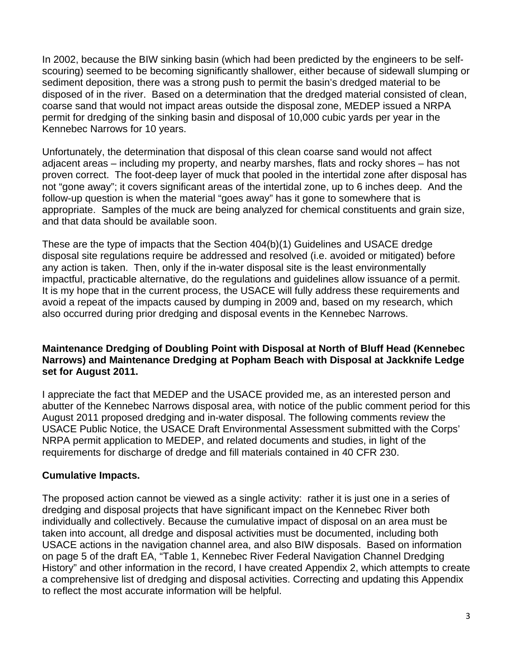In 2002, because the BIW sinking basin (which had been predicted by the engineers to be selfscouring) seemed to be becoming significantly shallower, either because of sidewall slumping or sediment deposition, there was a strong push to permit the basin's dredged material to be disposed of in the river. Based on a determination that the dredged material consisted of clean, coarse sand that would not impact areas outside the disposal zone, MEDEP issued a NRPA permit for dredging of the sinking basin and disposal of 10,000 cubic yards per year in the Kennebec Narrows for 10 years.

Unfortunately, the determination that disposal of this clean coarse sand would not affect adjacent areas – including my property, and nearby marshes, flats and rocky shores – has not proven correct. The foot-deep layer of muck that pooled in the intertidal zone after disposal has not "gone away"; it covers significant areas of the intertidal zone, up to 6 inches deep. And the follow-up question is when the material "goes away" has it gone to somewhere that is appropriate. Samples of the muck are being analyzed for chemical constituents and grain size, and that data should be available soon.

These are the type of impacts that the Section 404(b)(1) Guidelines and USACE dredge disposal site regulations require be addressed and resolved (i.e. avoided or mitigated) before any action is taken. Then, only if the in-water disposal site is the least environmentally impactful, practicable alternative, do the regulations and guidelines allow issuance of a permit. It is my hope that in the current process, the USACE will fully address these requirements and avoid a repeat of the impacts caused by dumping in 2009 and, based on my research, which also occurred during prior dredging and disposal events in the Kennebec Narrows.

# **Maintenance Dredging of Doubling Point with Disposal at North of Bluff Head (Kennebec Narrows) and Maintenance Dredging at Popham Beach with Disposal at Jackknife Ledge set for August 2011.**

I appreciate the fact that MEDEP and the USACE provided me, as an interested person and abutter of the Kennebec Narrows disposal area, with notice of the public comment period for this August 2011 proposed dredging and in-water disposal. The following comments review the USACE Public Notice, the USACE Draft Environmental Assessment submitted with the Corps' NRPA permit application to MEDEP, and related documents and studies, in light of the requirements for discharge of dredge and fill materials contained in 40 CFR 230.

# **Cumulative Impacts.**

The proposed action cannot be viewed as a single activity: rather it is just one in a series of dredging and disposal projects that have significant impact on the Kennebec River both individually and collectively. Because the cumulative impact of disposal on an area must be taken into account, all dredge and disposal activities must be documented, including both USACE actions in the navigation channel area, and also BIW disposals. Based on information on page 5 of the draft EA, "Table 1, Kennebec River Federal Navigation Channel Dredging History" and other information in the record, I have created Appendix 2, which attempts to create a comprehensive list of dredging and disposal activities. Correcting and updating this Appendix to reflect the most accurate information will be helpful.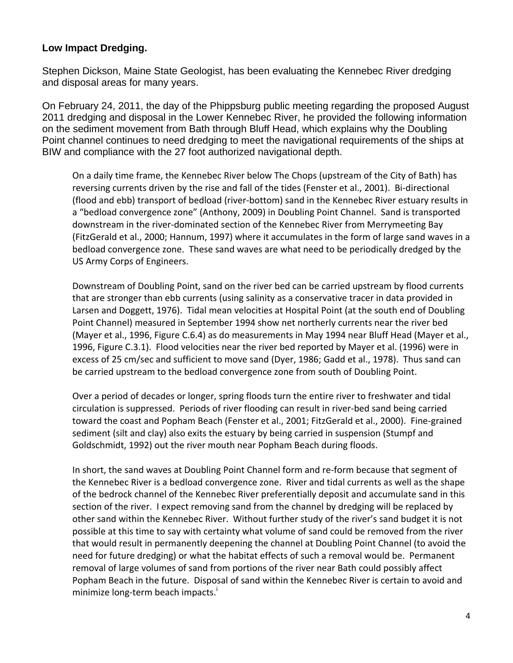# **Low Impact Dredging.**

Stephen Dickson, Maine State Geologist, has been evaluating the Kennebec River dredging and disposal areas for many years.

On February 24, 2011, the day of the Phippsburg public meeting regarding the proposed August 2011 dredging and disposal in the Lower Kennebec River, he provided the following information on the sediment movement from Bath through Bluff Head, which explains why the Doubling Point channel continues to need dredging to meet the navigational requirements of the ships at BIW and compliance with the 27 foot authorized navigational depth.

On a daily time frame, the Kennebec River below The Chops (upstream of the City of Bath) has reversing currents driven by the rise and fall of the tides (Fenster et al., 2001). Bi‐directional (flood and ebb) transport of bedload (river‐bottom) sand in the Kennebec River estuary results in a "bedload convergence zone" (Anthony, 2009) in Doubling Point Channel. Sand is transported downstream in the river‐dominated section of the Kennebec River from Merrymeeting Bay (FitzGerald et al., 2000; Hannum, 1997) where it accumulates in the form of large sand waves in a bedload convergence zone. These sand waves are what need to be periodically dredged by the US Army Corps of Engineers.

Downstream of Doubling Point, sand on the river bed can be carried upstream by flood currents that are stronger than ebb currents (using salinity as a conservative tracer in data provided in Larsen and Doggett, 1976). Tidal mean velocities at Hospital Point (at the south end of Doubling Point Channel) measured in September 1994 show net northerly currents near the river bed (Mayer et al., 1996, Figure C.6.4) as do measurements in May 1994 near Bluff Head (Mayer et al., 1996, Figure C.3.1). Flood velocities near the river bed reported by Mayer et al. (1996) were in excess of 25 cm/sec and sufficient to move sand (Dyer, 1986; Gadd et al., 1978). Thus sand can be carried upstream to the bedload convergence zone from south of Doubling Point.

Over a period of decades or longer, spring floods turn the entire river to freshwater and tidal circulation is suppressed. Periods of river flooding can result in river‐bed sand being carried toward the coast and Popham Beach (Fenster et al., 2001; FitzGerald et al., 2000). Fine‐grained sediment (silt and clay) also exits the estuary by being carried in suspension (Stumpf and Goldschmidt, 1992) out the river mouth near Popham Beach during floods.

In short, the sand waves at Doubling Point Channel form and re-form because that segment of the Kennebec River is a bedload convergence zone. River and tidal currents as well as the shape of the bedrock channel of the Kennebec River preferentially deposit and accumulate sand in this section of the river. I expect removing sand from the channel by dredging will be replaced by other sand within the Kennebec River. Without further study of the river's sand budget it is not possible at this time to say with certainty what volume of sand could be removed from the river that would result in permanently deepening the channel at Doubling Point Channel (to avoid the need for future dredging) or what the habitat effects of such a removal would be. Permanent removal of large volumes of sand from portions of the river near Bath could possibly affect Popham Beach in the future. Disposal of sand within the Kennebec River is certain to avoid and minimize long-term beach impacts.<sup>1</sup>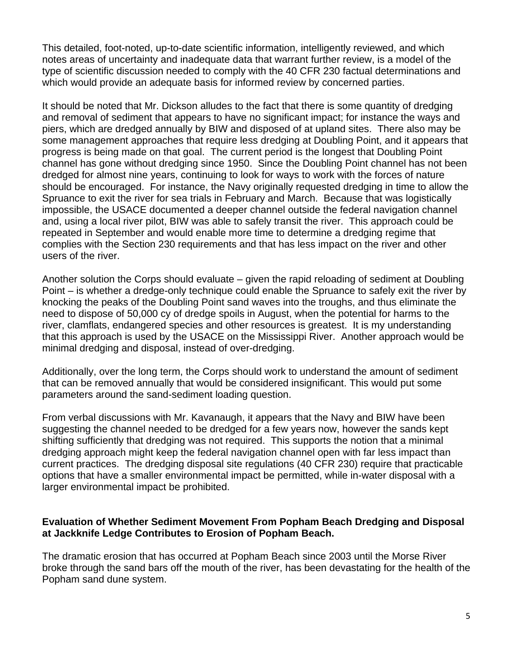This detailed, foot-noted, up-to-date scientific information, intelligently reviewed, and which notes areas of uncertainty and inadequate data that warrant further review, is a model of the type of scientific discussion needed to comply with the 40 CFR 230 factual determinations and which would provide an adequate basis for informed review by concerned parties.

It should be noted that Mr. Dickson alludes to the fact that there is some quantity of dredging and removal of sediment that appears to have no significant impact; for instance the ways and piers, which are dredged annually by BIW and disposed of at upland sites. There also may be some management approaches that require less dredging at Doubling Point, and it appears that progress is being made on that goal. The current period is the longest that Doubling Point channel has gone without dredging since 1950. Since the Doubling Point channel has not been dredged for almost nine years, continuing to look for ways to work with the forces of nature should be encouraged. For instance, the Navy originally requested dredging in time to allow the Spruance to exit the river for sea trials in February and March. Because that was logistically impossible, the USACE documented a deeper channel outside the federal navigation channel and, using a local river pilot, BIW was able to safely transit the river. This approach could be repeated in September and would enable more time to determine a dredging regime that complies with the Section 230 requirements and that has less impact on the river and other users of the river.

Another solution the Corps should evaluate – given the rapid reloading of sediment at Doubling Point – is whether a dredge-only technique could enable the Spruance to safely exit the river by knocking the peaks of the Doubling Point sand waves into the troughs, and thus eliminate the need to dispose of 50,000 cy of dredge spoils in August, when the potential for harms to the river, clamflats, endangered species and other resources is greatest. It is my understanding that this approach is used by the USACE on the Mississippi River. Another approach would be minimal dredging and disposal, instead of over-dredging.

Additionally, over the long term, the Corps should work to understand the amount of sediment that can be removed annually that would be considered insignificant. This would put some parameters around the sand-sediment loading question.

From verbal discussions with Mr. Kavanaugh, it appears that the Navy and BIW have been suggesting the channel needed to be dredged for a few years now, however the sands kept shifting sufficiently that dredging was not required. This supports the notion that a minimal dredging approach might keep the federal navigation channel open with far less impact than current practices. The dredging disposal site regulations (40 CFR 230) require that practicable options that have a smaller environmental impact be permitted, while in-water disposal with a larger environmental impact be prohibited.

## **Evaluation of Whether Sediment Movement From Popham Beach Dredging and Disposal at Jackknife Ledge Contributes to Erosion of Popham Beach.**

The dramatic erosion that has occurred at Popham Beach since 2003 until the Morse River broke through the sand bars off the mouth of the river, has been devastating for the health of the Popham sand dune system.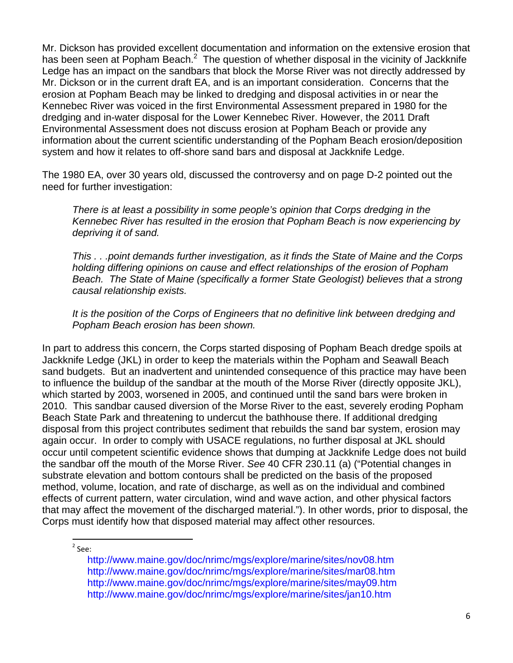Mr. Dickson has provided excellent documentation and information on the extensive erosion that has been seen at Popham Beach. $^2$  The question of whether disposal in the vicinity of Jackknife Ledge has an impact on the sandbars that block the Morse River was not directly addressed by Mr. Dickson or in the current draft EA, and is an important consideration. Concerns that the erosion at Popham Beach may be linked to dredging and disposal activities in or near the Kennebec River was voiced in the first Environmental Assessment prepared in 1980 for the dredging and in-water disposal for the Lower Kennebec River. However, the 2011 Draft Environmental Assessment does not discuss erosion at Popham Beach or provide any information about the current scientific understanding of the Popham Beach erosion/deposition system and how it relates to off-shore sand bars and disposal at Jackknife Ledge.

The 1980 EA, over 30 years old, discussed the controversy and on page D-2 pointed out the need for further investigation:

*There is at least a possibility in some people's opinion that Corps dredging in the Kennebec River has resulted in the erosion that Popham Beach is now experiencing by depriving it of sand.* 

*This . . .point demands further investigation, as it finds the State of Maine and the Corps holding differing opinions on cause and effect relationships of the erosion of Popham Beach. The State of Maine (specifically a former State Geologist) believes that a strong causal relationship exists.* 

*It is the position of the Corps of Engineers that no definitive link between dredging and Popham Beach erosion has been shown.* 

In part to address this concern, the Corps started disposing of Popham Beach dredge spoils at Jackknife Ledge (JKL) in order to keep the materials within the Popham and Seawall Beach sand budgets. But an inadvertent and unintended consequence of this practice may have been to influence the buildup of the sandbar at the mouth of the Morse River (directly opposite JKL), which started by 2003, worsened in 2005, and continued until the sand bars were broken in 2010. This sandbar caused diversion of the Morse River to the east, severely eroding Popham Beach State Park and threatening to undercut the bathhouse there. If additional dredging disposal from this project contributes sediment that rebuilds the sand bar system, erosion may again occur. In order to comply with USACE regulations, no further disposal at JKL should occur until competent scientific evidence shows that dumping at Jackknife Ledge does not build the sandbar off the mouth of the Morse River. *See* 40 CFR 230.11 (a) ("Potential changes in substrate elevation and bottom contours shall be predicted on the basis of the proposed method, volume, location, and rate of discharge, as well as on the individual and combined effects of current pattern, water circulation, wind and wave action, and other physical factors that may affect the movement of the discharged material."). In other words, prior to disposal, the Corps must identify how that disposed material may affect other resources.

 <sup>2</sup> See:

> http://www.maine.gov/doc/nrimc/mgs/explore/marine/sites/nov08.htm http://www.maine.gov/doc/nrimc/mgs/explore/marine/sites/mar08.htm http://www.maine.gov/doc/nrimc/mgs/explore/marine/sites/may09.htm http://www.maine.gov/doc/nrimc/mgs/explore/marine/sites/jan10.htm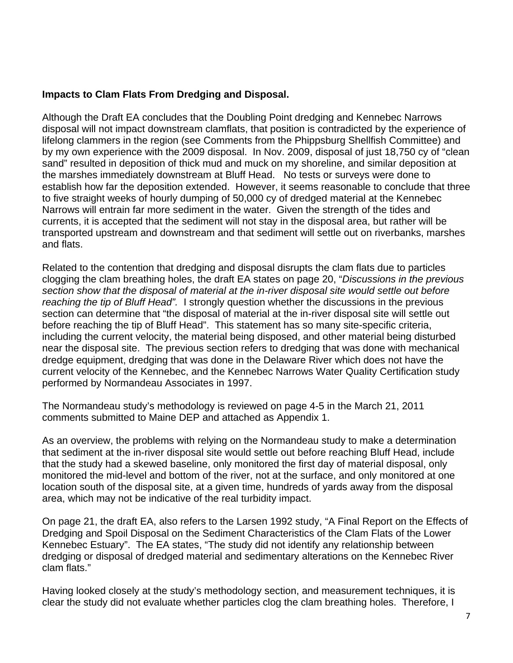# **Impacts to Clam Flats From Dredging and Disposal.**

Although the Draft EA concludes that the Doubling Point dredging and Kennebec Narrows disposal will not impact downstream clamflats, that position is contradicted by the experience of lifelong clammers in the region (see Comments from the Phippsburg Shellfish Committee) and by my own experience with the 2009 disposal. In Nov. 2009, disposal of just 18,750 cy of "clean sand" resulted in deposition of thick mud and muck on my shoreline, and similar deposition at the marshes immediately downstream at Bluff Head. No tests or surveys were done to establish how far the deposition extended. However, it seems reasonable to conclude that three to five straight weeks of hourly dumping of 50,000 cy of dredged material at the Kennebec Narrows will entrain far more sediment in the water. Given the strength of the tides and currents, it is accepted that the sediment will not stay in the disposal area, but rather will be transported upstream and downstream and that sediment will settle out on riverbanks, marshes and flats.

Related to the contention that dredging and disposal disrupts the clam flats due to particles clogging the clam breathing holes, the draft EA states on page 20, "*Discussions in the previous section show that the disposal of material at the in-river disposal site would settle out before reaching the tip of Bluff Head".* I strongly question whether the discussions in the previous section can determine that "the disposal of material at the in-river disposal site will settle out before reaching the tip of Bluff Head". This statement has so many site-specific criteria, including the current velocity, the material being disposed, and other material being disturbed near the disposal site. The previous section refers to dredging that was done with mechanical dredge equipment, dredging that was done in the Delaware River which does not have the current velocity of the Kennebec, and the Kennebec Narrows Water Quality Certification study performed by Normandeau Associates in 1997.

The Normandeau study's methodology is reviewed on page 4-5 in the March 21, 2011 comments submitted to Maine DEP and attached as Appendix 1.

As an overview, the problems with relying on the Normandeau study to make a determination that sediment at the in-river disposal site would settle out before reaching Bluff Head, include that the study had a skewed baseline, only monitored the first day of material disposal, only monitored the mid-level and bottom of the river, not at the surface, and only monitored at one location south of the disposal site, at a given time, hundreds of yards away from the disposal area, which may not be indicative of the real turbidity impact.

On page 21, the draft EA, also refers to the Larsen 1992 study, "A Final Report on the Effects of Dredging and Spoil Disposal on the Sediment Characteristics of the Clam Flats of the Lower Kennebec Estuary". The EA states, "The study did not identify any relationship between dredging or disposal of dredged material and sedimentary alterations on the Kennebec River clam flats."

Having looked closely at the study's methodology section, and measurement techniques, it is clear the study did not evaluate whether particles clog the clam breathing holes. Therefore, I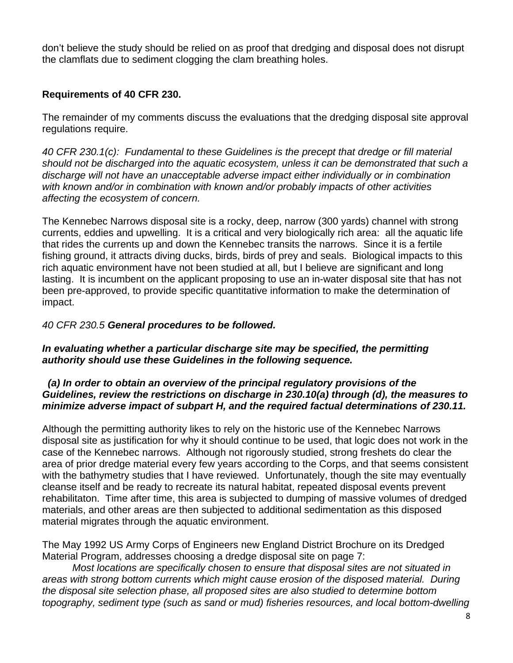don't believe the study should be relied on as proof that dredging and disposal does not disrupt the clamflats due to sediment clogging the clam breathing holes.

# **Requirements of 40 CFR 230.**

The remainder of my comments discuss the evaluations that the dredging disposal site approval regulations require.

*40 CFR 230.1(c): Fundamental to these Guidelines is the precept that dredge or fill material should not be discharged into the aquatic ecosystem, unless it can be demonstrated that such a discharge will not have an unacceptable adverse impact either individually or in combination with known and/or in combination with known and/or probably impacts of other activities affecting the ecosystem of concern.* 

The Kennebec Narrows disposal site is a rocky, deep, narrow (300 yards) channel with strong currents, eddies and upwelling. It is a critical and very biologically rich area: all the aquatic life that rides the currents up and down the Kennebec transits the narrows. Since it is a fertile fishing ground, it attracts diving ducks, birds, birds of prey and seals. Biological impacts to this rich aquatic environment have not been studied at all, but I believe are significant and long lasting. It is incumbent on the applicant proposing to use an in-water disposal site that has not been pre-approved, to provide specific quantitative information to make the determination of impact.

# *40 CFR 230.5 General procedures to be followed.*

# *In evaluating whether a particular discharge site may be specified, the permitting authority should use these Guidelines in the following sequence.*

#### *(a) In order to obtain an overview of the principal regulatory provisions of the Guidelines, review the restrictions on discharge in 230.10(a) through (d), the measures to minimize adverse impact of subpart H, and the required factual determinations of 230.11.*

Although the permitting authority likes to rely on the historic use of the Kennebec Narrows disposal site as justification for why it should continue to be used, that logic does not work in the case of the Kennebec narrows. Although not rigorously studied, strong freshets do clear the area of prior dredge material every few years according to the Corps, and that seems consistent with the bathymetry studies that I have reviewed. Unfortunately, though the site may eventually cleanse itself and be ready to recreate its natural habitat, repeated disposal events prevent rehabilitaton. Time after time, this area is subjected to dumping of massive volumes of dredged materials, and other areas are then subjected to additional sedimentation as this disposed material migrates through the aquatic environment.

The May 1992 US Army Corps of Engineers new England District Brochure on its Dredged Material Program, addresses choosing a dredge disposal site on page 7:

*Most locations are specifically chosen to ensure that disposal sites are not situated in areas with strong bottom currents which might cause erosion of the disposed material. During the disposal site selection phase, all proposed sites are also studied to determine bottom topography, sediment type (such as sand or mud) fisheries resources, and local bottom-dwelling*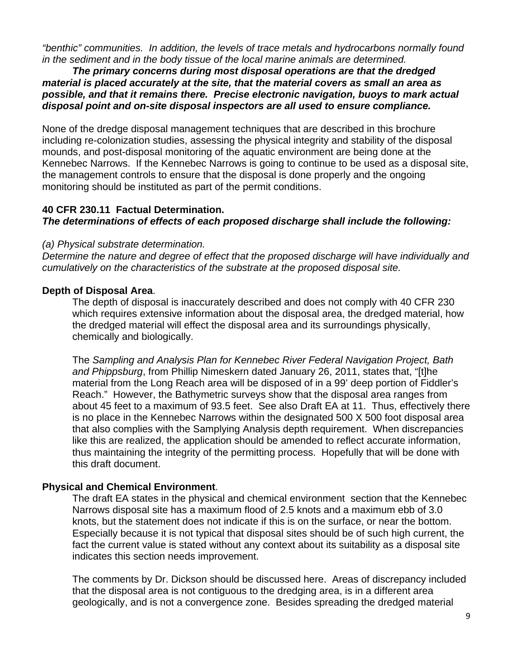*"benthic" communities. In addition, the levels of trace metals and hydrocarbons normally found in the sediment and in the body tissue of the local marine animals are determined.* 

*The primary concerns during most disposal operations are that the dredged material is placed accurately at the site, that the material covers as small an area as possible, and that it remains there. Precise electronic navigation, buoys to mark actual disposal point and on-site disposal inspectors are all used to ensure compliance.* 

None of the dredge disposal management techniques that are described in this brochure including re-colonization studies, assessing the physical integrity and stability of the disposal mounds, and post-disposal monitoring of the aquatic environment are being done at the Kennebec Narrows. If the Kennebec Narrows is going to continue to be used as a disposal site, the management controls to ensure that the disposal is done properly and the ongoing monitoring should be instituted as part of the permit conditions.

#### **40 CFR 230.11 Factual Determination.**  *The determinations of effects of each proposed discharge shall include the following:*

## *(a) Physical substrate determination.*

*Determine the nature and degree of effect that the proposed discharge will have individually and cumulatively on the characteristics of the substrate at the proposed disposal site.* 

# **Depth of Disposal Area**.

The depth of disposal is inaccurately described and does not comply with 40 CFR 230 which requires extensive information about the disposal area, the dredged material, how the dredged material will effect the disposal area and its surroundings physically, chemically and biologically.

The *Sampling and Analysis Plan for Kennebec River Federal Navigation Project, Bath and Phippsburg*, from Phillip Nimeskern dated January 26, 2011, states that, "[t]he material from the Long Reach area will be disposed of in a 99' deep portion of Fiddler's Reach." However, the Bathymetric surveys show that the disposal area ranges from about 45 feet to a maximum of 93.5 feet. See also Draft EA at 11. Thus, effectively there is no place in the Kennebec Narrows within the designated 500 X 500 foot disposal area that also complies with the Samplying Analysis depth requirement. When discrepancies like this are realized, the application should be amended to reflect accurate information, thus maintaining the integrity of the permitting process. Hopefully that will be done with this draft document.

## **Physical and Chemical Environment**.

The draft EA states in the physical and chemical environment section that the Kennebec Narrows disposal site has a maximum flood of 2.5 knots and a maximum ebb of 3.0 knots, but the statement does not indicate if this is on the surface, or near the bottom. Especially because it is not typical that disposal sites should be of such high current, the fact the current value is stated without any context about its suitability as a disposal site indicates this section needs improvement.

The comments by Dr. Dickson should be discussed here. Areas of discrepancy included that the disposal area is not contiguous to the dredging area, is in a different area geologically, and is not a convergence zone. Besides spreading the dredged material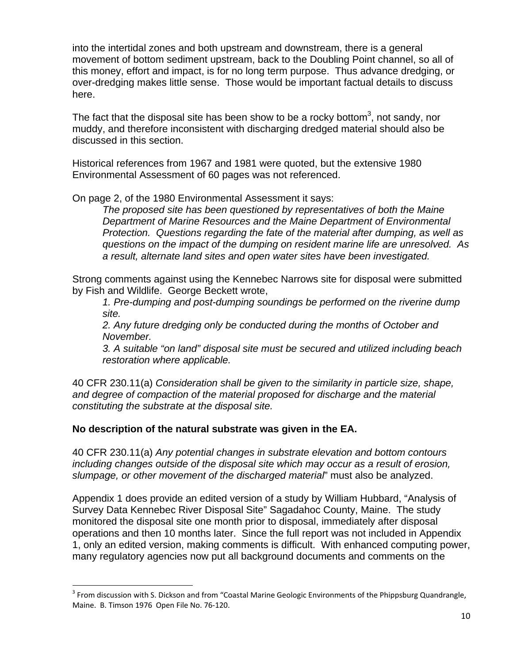into the intertidal zones and both upstream and downstream, there is a general movement of bottom sediment upstream, back to the Doubling Point channel, so all of this money, effort and impact, is for no long term purpose. Thus advance dredging, or over-dredging makes little sense. Those would be important factual details to discuss here.

The fact that the disposal site has been show to be a rocky bottom<sup>3</sup>, not sandy, nor muddy, and therefore inconsistent with discharging dredged material should also be discussed in this section.

Historical references from 1967 and 1981 were quoted, but the extensive 1980 Environmental Assessment of 60 pages was not referenced.

On page 2, of the 1980 Environmental Assessment it says:

*The proposed site has been questioned by representatives of both the Maine Department of Marine Resources and the Maine Department of Environmental Protection. Questions regarding the fate of the material after dumping, as well as questions on the impact of the dumping on resident marine life are unresolved. As a result, alternate land sites and open water sites have been investigated.* 

Strong comments against using the Kennebec Narrows site for disposal were submitted by Fish and Wildlife. George Beckett wrote,

*1. Pre-dumping and post-dumping soundings be performed on the riverine dump site.* 

*2. Any future dredging only be conducted during the months of October and November.* 

*3. A suitable "on land" disposal site must be secured and utilized including beach restoration where applicable.* 

40 CFR 230.11(a) *Consideration shall be given to the similarity in particle size, shape, and degree of compaction of the material proposed for discharge and the material constituting the substrate at the disposal site.*

## **No description of the natural substrate was given in the EA.**

40 CFR 230.11(a) *Any potential changes in substrate elevation and bottom contours including changes outside of the disposal site which may occur as a result of erosion, slumpage, or other movement of the discharged material*" must also be analyzed.

Appendix 1 does provide an edited version of a study by William Hubbard, "Analysis of Survey Data Kennebec River Disposal Site" Sagadahoc County, Maine. The study monitored the disposal site one month prior to disposal, immediately after disposal operations and then 10 months later. Since the full report was not included in Appendix 1, only an edited version, making comments is difficult. With enhanced computing power, many regulatory agencies now put all background documents and comments on the

<sup>&</sup>lt;sup>3</sup> From discussion with S. Dickson and from "Coastal Marine Geologic Environments of the Phippsburg Quandrangle, Maine. B. Timson 1976 Open File No. 76‐120.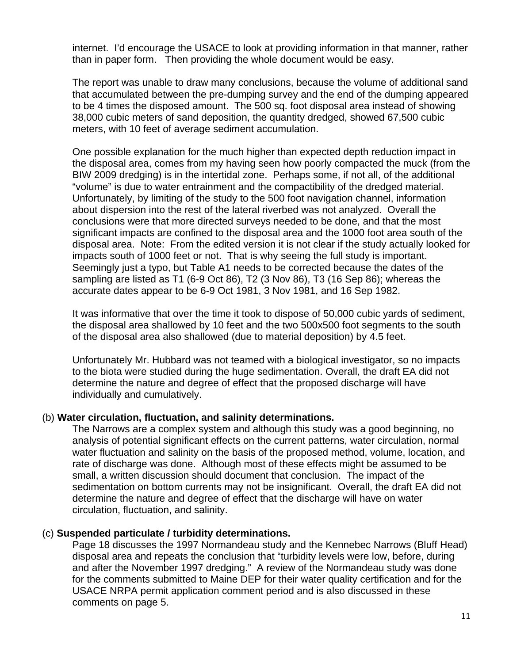internet. I'd encourage the USACE to look at providing information in that manner, rather than in paper form. Then providing the whole document would be easy.

The report was unable to draw many conclusions, because the volume of additional sand that accumulated between the pre-dumping survey and the end of the dumping appeared to be 4 times the disposed amount. The 500 sq. foot disposal area instead of showing 38,000 cubic meters of sand deposition, the quantity dredged, showed 67,500 cubic meters, with 10 feet of average sediment accumulation.

One possible explanation for the much higher than expected depth reduction impact in the disposal area, comes from my having seen how poorly compacted the muck (from the BIW 2009 dredging) is in the intertidal zone. Perhaps some, if not all, of the additional "volume" is due to water entrainment and the compactibility of the dredged material. Unfortunately, by limiting of the study to the 500 foot navigation channel, information about dispersion into the rest of the lateral riverbed was not analyzed. Overall the conclusions were that more directed surveys needed to be done, and that the most significant impacts are confined to the disposal area and the 1000 foot area south of the disposal area. Note: From the edited version it is not clear if the study actually looked for impacts south of 1000 feet or not. That is why seeing the full study is important. Seemingly just a typo, but Table A1 needs to be corrected because the dates of the sampling are listed as T1 (6-9 Oct 86), T2 (3 Nov 86), T3 (16 Sep 86); whereas the accurate dates appear to be 6-9 Oct 1981, 3 Nov 1981, and 16 Sep 1982.

It was informative that over the time it took to dispose of 50,000 cubic yards of sediment, the disposal area shallowed by 10 feet and the two 500x500 foot segments to the south of the disposal area also shallowed (due to material deposition) by 4.5 feet.

Unfortunately Mr. Hubbard was not teamed with a biological investigator, so no impacts to the biota were studied during the huge sedimentation. Overall, the draft EA did not determine the nature and degree of effect that the proposed discharge will have individually and cumulatively.

#### (b) **Water circulation, fluctuation, and salinity determinations.**

The Narrows are a complex system and although this study was a good beginning, no analysis of potential significant effects on the current patterns, water circulation, normal water fluctuation and salinity on the basis of the proposed method, volume, location, and rate of discharge was done. Although most of these effects might be assumed to be small, a written discussion should document that conclusion. The impact of the sedimentation on bottom currents may not be insignificant. Overall, the draft EA did not determine the nature and degree of effect that the discharge will have on water circulation, fluctuation, and salinity.

#### (c) **Suspended particulate / turbidity determinations.**

Page 18 discusses the 1997 Normandeau study and the Kennebec Narrows (Bluff Head) disposal area and repeats the conclusion that "turbidity levels were low, before, during and after the November 1997 dredging." A review of the Normandeau study was done for the comments submitted to Maine DEP for their water quality certification and for the USACE NRPA permit application comment period and is also discussed in these comments on page 5.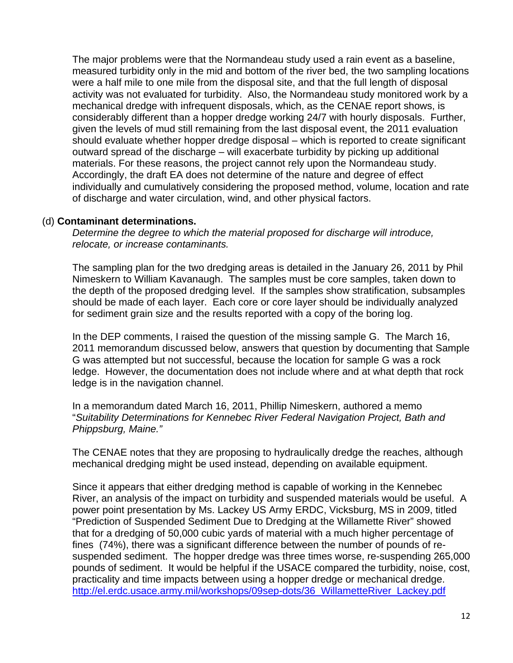The major problems were that the Normandeau study used a rain event as a baseline, measured turbidity only in the mid and bottom of the river bed, the two sampling locations were a half mile to one mile from the disposal site, and that the full length of disposal activity was not evaluated for turbidity. Also, the Normandeau study monitored work by a mechanical dredge with infrequent disposals, which, as the CENAE report shows, is considerably different than a hopper dredge working 24/7 with hourly disposals. Further, given the levels of mud still remaining from the last disposal event, the 2011 evaluation should evaluate whether hopper dredge disposal – which is reported to create significant outward spread of the discharge – will exacerbate turbidity by picking up additional materials. For these reasons, the project cannot rely upon the Normandeau study. Accordingly, the draft EA does not determine of the nature and degree of effect individually and cumulatively considering the proposed method, volume, location and rate of discharge and water circulation, wind, and other physical factors.

#### (d) **Contaminant determinations.**

*Determine the degree to which the material proposed for discharge will introduce, relocate, or increase contaminants.*

The sampling plan for the two dredging areas is detailed in the January 26, 2011 by Phil Nimeskern to William Kavanaugh. The samples must be core samples, taken down to the depth of the proposed dredging level. If the samples show stratification, subsamples should be made of each layer. Each core or core layer should be individually analyzed for sediment grain size and the results reported with a copy of the boring log.

In the DEP comments, I raised the question of the missing sample G. The March 16, 2011 memorandum discussed below, answers that question by documenting that Sample G was attempted but not successful, because the location for sample G was a rock ledge. However, the documentation does not include where and at what depth that rock ledge is in the navigation channel.

In a memorandum dated March 16, 2011, Phillip Nimeskern, authored a memo "*Suitability Determinations for Kennebec River Federal Navigation Project, Bath and Phippsburg, Maine."* 

The CENAE notes that they are proposing to hydraulically dredge the reaches, although mechanical dredging might be used instead, depending on available equipment.

Since it appears that either dredging method is capable of working in the Kennebec River, an analysis of the impact on turbidity and suspended materials would be useful. A power point presentation by Ms. Lackey US Army ERDC, Vicksburg, MS in 2009, titled "Prediction of Suspended Sediment Due to Dredging at the Willamette River" showed that for a dredging of 50,000 cubic yards of material with a much higher percentage of fines (74%), there was a significant difference between the number of pounds of resuspended sediment. The hopper dredge was three times worse, re-suspending 265,000 pounds of sediment. It would be helpful if the USACE compared the turbidity, noise, cost, practicality and time impacts between using a hopper dredge or mechanical dredge. http://el.erdc.usace.army.mil/workshops/09sep-dots/36\_WillametteRiver\_Lackey.pdf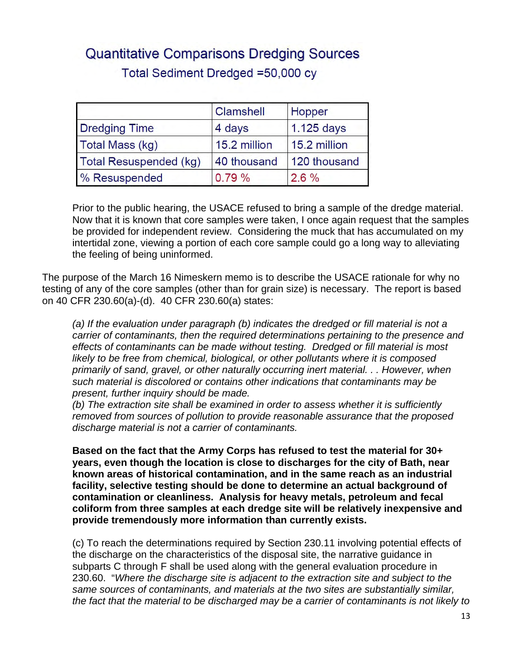# **Quantitative Comparisons Dredging Sources** Total Sediment Dredged =50,000 cy

|                        | <b>Clamshell</b> | Hopper       |
|------------------------|------------------|--------------|
| <b>Dredging Time</b>   | 4 days           | 1.125 days   |
| Total Mass (kg)        | 15.2 million     | 15.2 million |
| Total Resuspended (kg) | 40 thousand      | 120 thousand |
| % Resuspended          | 0.79%            | $2.6\%$      |

Prior to the public hearing, the USACE refused to bring a sample of the dredge material. Now that it is known that core samples were taken, I once again request that the samples be provided for independent review. Considering the muck that has accumulated on my intertidal zone, viewing a portion of each core sample could go a long way to alleviating the feeling of being uninformed.

The purpose of the March 16 Nimeskern memo is to describe the USACE rationale for why no testing of any of the core samples (other than for grain size) is necessary. The report is based on 40 CFR 230.60(a)-(d). 40 CFR 230.60(a) states:

*(a) If the evaluation under paragraph (b) indicates the dredged or fill material is not a carrier of contaminants, then the required determinations pertaining to the presence and effects of contaminants can be made without testing. Dredged or fill material is most likely to be free from chemical, biological, or other pollutants where it is composed primarily of sand, gravel, or other naturally occurring inert material. . . However, when such material is discolored or contains other indications that contaminants may be present, further inquiry should be made.* 

*(b) The extraction site shall be examined in order to assess whether it is sufficiently removed from sources of pollution to provide reasonable assurance that the proposed discharge material is not a carrier of contaminants.* 

**Based on the fact that the Army Corps has refused to test the material for 30+ years, even though the location is close to discharges for the city of Bath, near known areas of historical contamination, and in the same reach as an industrial facility, selective testing should be done to determine an actual background of contamination or cleanliness. Analysis for heavy metals, petroleum and fecal coliform from three samples at each dredge site will be relatively inexpensive and provide tremendously more information than currently exists.** 

(c) To reach the determinations required by Section 230.11 involving potential effects of the discharge on the characteristics of the disposal site, the narrative guidance in subparts C through F shall be used along with the general evaluation procedure in 230.60. "*Where the discharge site is adjacent to the extraction site and subject to the same sources of contaminants, and materials at the two sites are substantially similar, the fact that the material to be discharged may be a carrier of contaminants is not likely to*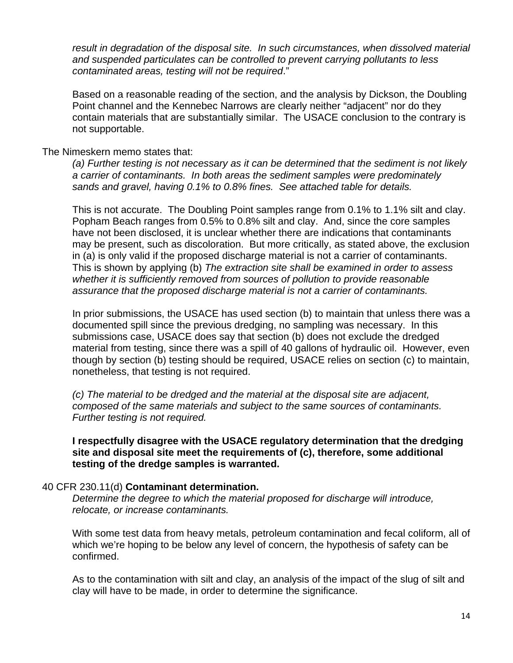*result in degradation of the disposal site. In such circumstances, when dissolved material and suspended particulates can be controlled to prevent carrying pollutants to less contaminated areas, testing will not be required*."

Based on a reasonable reading of the section, and the analysis by Dickson, the Doubling Point channel and the Kennebec Narrows are clearly neither "adjacent" nor do they contain materials that are substantially similar. The USACE conclusion to the contrary is not supportable.

#### The Nimeskern memo states that:

*(a) Further testing is not necessary as it can be determined that the sediment is not likely a carrier of contaminants. In both areas the sediment samples were predominately sands and gravel, having 0.1% to 0.8% fines. See attached table for details.* 

This is not accurate. The Doubling Point samples range from 0.1% to 1.1% silt and clay. Popham Beach ranges from 0.5% to 0.8% silt and clay. And, since the core samples have not been disclosed, it is unclear whether there are indications that contaminants may be present, such as discoloration.But more critically, as stated above, the exclusion in (a) is only valid if the proposed discharge material is not a carrier of contaminants. This is shown by applying (b) *The extraction site shall be examined in order to assess whether it is sufficiently removed from sources of pollution to provide reasonable assurance that the proposed discharge material is not a carrier of contaminants.* 

In prior submissions, the USACE has used section (b) to maintain that unless there was a documented spill since the previous dredging, no sampling was necessary. In this submissions case, USACE does say that section (b) does not exclude the dredged material from testing, since there was a spill of 40 gallons of hydraulic oil. However, even though by section (b) testing should be required, USACE relies on section (c) to maintain, nonetheless, that testing is not required.

*(c) The material to be dredged and the material at the disposal site are adjacent, composed of the same materials and subject to the same sources of contaminants. Further testing is not required.* 

**I respectfully disagree with the USACE regulatory determination that the dredging site and disposal site meet the requirements of (c), therefore, some additional testing of the dredge samples is warranted.** 

## 40 CFR 230.11(d) **Contaminant determination.**

*Determine the degree to which the material proposed for discharge will introduce, relocate, or increase contaminants.* 

With some test data from heavy metals, petroleum contamination and fecal coliform, all of which we're hoping to be below any level of concern, the hypothesis of safety can be confirmed.

As to the contamination with silt and clay, an analysis of the impact of the slug of silt and clay will have to be made, in order to determine the significance.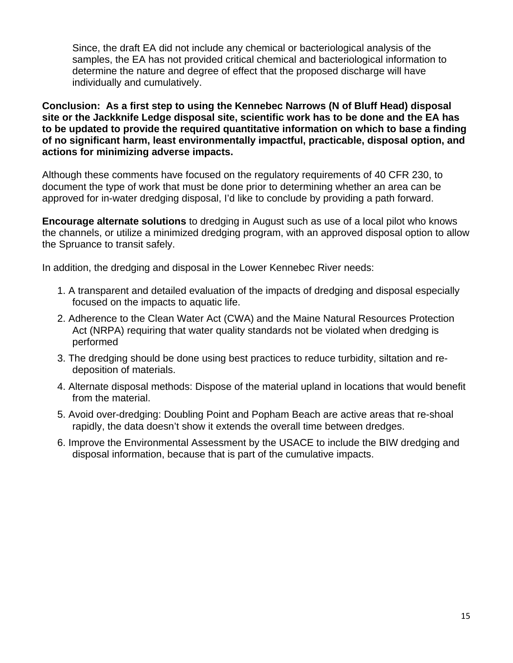Since, the draft EA did not include any chemical or bacteriological analysis of the samples, the EA has not provided critical chemical and bacteriological information to determine the nature and degree of effect that the proposed discharge will have individually and cumulatively.

**Conclusion: As a first step to using the Kennebec Narrows (N of Bluff Head) disposal site or the Jackknife Ledge disposal site, scientific work has to be done and the EA has to be updated to provide the required quantitative information on which to base a finding of no significant harm, least environmentally impactful, practicable, disposal option, and actions for minimizing adverse impacts.** 

Although these comments have focused on the regulatory requirements of 40 CFR 230, to document the type of work that must be done prior to determining whether an area can be approved for in-water dredging disposal, I'd like to conclude by providing a path forward.

**Encourage alternate solutions** to dredging in August such as use of a local pilot who knows the channels, or utilize a minimized dredging program, with an approved disposal option to allow the Spruance to transit safely.

In addition, the dredging and disposal in the Lower Kennebec River needs:

- 1. A transparent and detailed evaluation of the impacts of dredging and disposal especially focused on the impacts to aquatic life.
- 2. Adherence to the Clean Water Act (CWA) and the Maine Natural Resources Protection Act (NRPA) requiring that water quality standards not be violated when dredging is performed
- 3. The dredging should be done using best practices to reduce turbidity, siltation and redeposition of materials.
- 4. Alternate disposal methods: Dispose of the material upland in locations that would benefit from the material.
- 5. Avoid over-dredging: Doubling Point and Popham Beach are active areas that re-shoal rapidly, the data doesn't show it extends the overall time between dredges.
- 6. Improve the Environmental Assessment by the USACE to include the BIW dredging and disposal information, because that is part of the cumulative impacts.